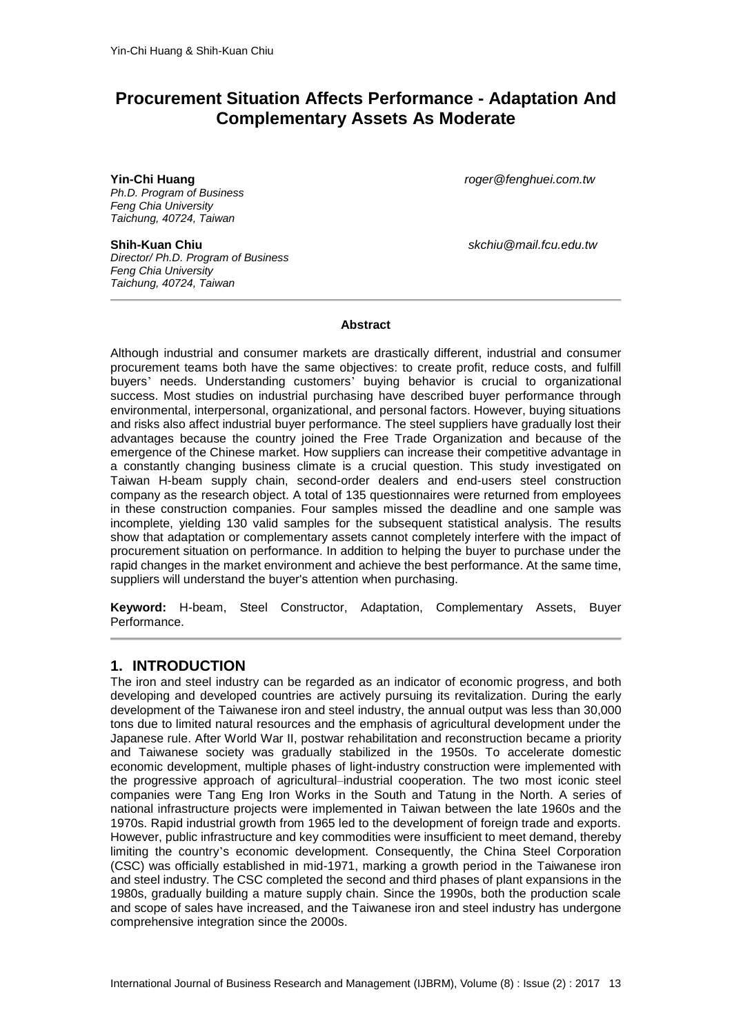# **Procurement Situation Affects Performance - Adaptation And Complementary Assets As Moderate**

*Ph.D. Program of Business Feng Chia University Taichung, 40724, Taiwan*

*Director/ Ph.D. Program of Business Feng Chia University Taichung, 40724, Taiwan*

**Yin-Chi Huang** *[roger@fenghuei.com.tw](mailto:roger@fenghuei.com.tw)*

**Shih-Kuan Chiu** *skchiu@mail.fcu.edu.tw*

#### **Abstract**

Although industrial and consumer markets are drastically different, industrial and consumer procurement teams both have the same objectives: to create profit, reduce costs, and fulfill buyers' needs. Understanding customers' buying behavior is crucial to organizational success. Most studies on industrial purchasing have described buyer performance through environmental, interpersonal, organizational, and personal factors. However, buying situations and risks also affect industrial buyer performance. The steel suppliers have gradually lost their advantages because the country joined the Free Trade Organization and because of the emergence of the Chinese market. How suppliers can increase their competitive advantage in a constantly changing business climate is a crucial question. This study investigated on Taiwan H-beam supply chain, second-order dealers and end-users steel construction company as the research object. A total of 135 questionnaires were returned from employees in these construction companies. Four samples missed the deadline and one sample was incomplete, yielding 130 valid samples for the subsequent statistical analysis. The results show that adaptation or complementary assets cannot completely interfere with the impact of procurement situation on performance. In addition to helping the buyer to purchase under the rapid changes in the market environment and achieve the best performance. At the same time, suppliers will understand the buyer's attention when purchasing.

**Keyword:** H-beam, Steel Constructor, Adaptation, Complementary Assets, Buyer Performance.

## **1. INTRODUCTION**

The iron and steel industry can be regarded as an indicator of economic progress, and both developing and developed countries are actively pursuing its revitalization. During the early development of the Taiwanese iron and steel industry, the annual output was less than 30,000 tons due to limited natural resources and the emphasis of agricultural development under the Japanese rule. After World War II, postwar rehabilitation and reconstruction became a priority and Taiwanese society was gradually stabilized in the 1950s. To accelerate domestic economic development, multiple phases of light-industry construction were implemented with the progressive approach of agricultural–industrial cooperation. The two most iconic steel companies were Tang Eng Iron Works in the South and Tatung in the North. A series of national infrastructure projects were implemented in Taiwan between the late 1960s and the 1970s. Rapid industrial growth from 1965 led to the development of foreign trade and exports. However, public infrastructure and key commodities were insufficient to meet demand, thereby limiting the country's economic development. Consequently, the China Steel Corporation (CSC) was officially established in mid-1971, marking a growth period in the Taiwanese iron and steel industry. The CSC completed the second and third phases of plant expansions in the 1980s, gradually building a mature supply chain. Since the 1990s, both the production scale and scope of sales have increased, and the Taiwanese iron and steel industry has undergone comprehensive integration since the 2000s.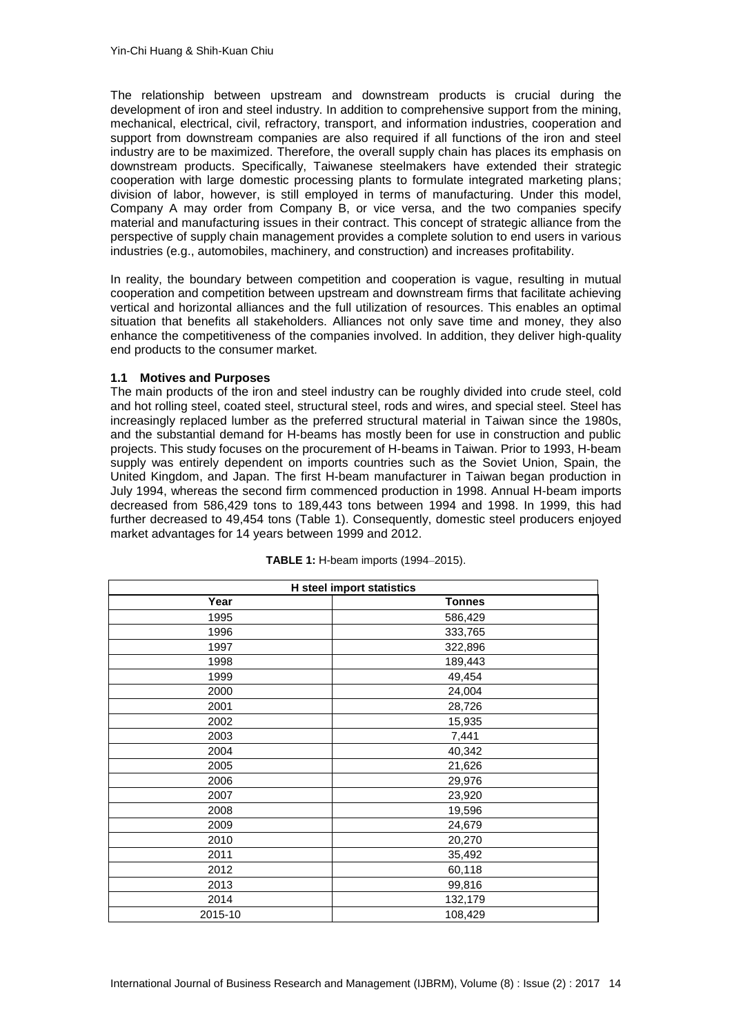The relationship between upstream and downstream products is crucial during the development of iron and steel industry. In addition to comprehensive support from the mining, mechanical, electrical, civil, refractory, transport, and information industries, cooperation and support from downstream companies are also required if all functions of the iron and steel industry are to be maximized. Therefore, the overall supply chain has places its emphasis on downstream products. Specifically, Taiwanese steelmakers have extended their strategic cooperation with large domestic processing plants to formulate integrated marketing plans; division of labor, however, is still employed in terms of manufacturing. Under this model, Company A may order from Company B, or vice versa, and the two companies specify material and manufacturing issues in their contract. This concept of strategic alliance from the perspective of supply chain management provides a complete solution to end users in various industries (e.g., automobiles, machinery, and construction) and increases profitability.

In reality, the boundary between competition and cooperation is vague, resulting in mutual cooperation and competition between upstream and downstream firms that facilitate achieving vertical and horizontal alliances and the full utilization of resources. This enables an optimal situation that benefits all stakeholders. Alliances not only save time and money, they also enhance the competitiveness of the companies involved. In addition, they deliver high-quality end products to the consumer market.

### **1.1 Motives and Purposes**

The main products of the iron and steel industry can be roughly divided into crude steel, cold and hot rolling steel, coated steel, structural steel, rods and wires, and special steel. Steel has increasingly replaced lumber as the preferred structural material in Taiwan since the 1980s, and the substantial demand for H-beams has mostly been for use in construction and public projects. This study focuses on the procurement of H-beams in Taiwan. Prior to 1993, H-beam supply was entirely dependent on imports countries such as the Soviet Union, Spain, the United Kingdom, and Japan. The first H-beam manufacturer in Taiwan began production in July 1994, whereas the second firm commenced production in 1998. Annual H-beam imports decreased from 586,429 tons to 189,443 tons between 1994 and 1998. In 1999, this had further decreased to 49,454 tons (Table 1). Consequently, domestic steel producers enjoyed market advantages for 14 years between 1999 and 2012.

|         | <b>H</b> steel import statistics |
|---------|----------------------------------|
| Year    | <b>Tonnes</b>                    |
| 1995    | 586,429                          |
| 1996    | 333,765                          |
| 1997    | 322,896                          |
| 1998    | 189,443                          |
| 1999    | 49,454                           |
| 2000    | 24,004                           |
| 2001    | 28,726                           |
| 2002    | 15,935                           |
| 2003    | 7,441                            |
| 2004    | 40,342                           |
| 2005    | 21,626                           |
| 2006    | 29,976                           |
| 2007    | 23,920                           |
| 2008    | 19,596                           |
| 2009    | 24,679                           |
| 2010    | 20,270                           |
| 2011    | 35,492                           |
| 2012    | 60,118                           |
| 2013    | 99,816                           |
| 2014    | 132,179                          |
| 2015-10 | 108,429                          |

| <b>TABLE 1:</b> H-beam imports (1994-2015). |  |  |  |  |  |
|---------------------------------------------|--|--|--|--|--|
|---------------------------------------------|--|--|--|--|--|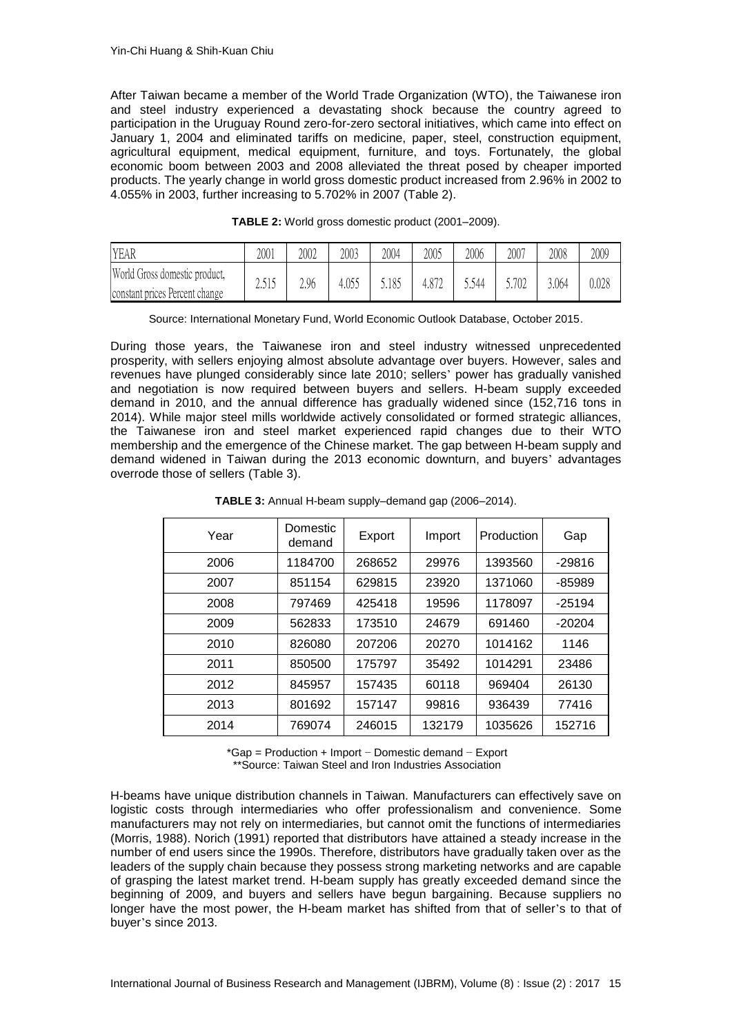After Taiwan became a member of the World Trade Organization (WTO), the Taiwanese iron and steel industry experienced a devastating shock because the country agreed to participation in the Uruguay Round zero-for-zero sectoral initiatives, which came into effect on January 1, 2004 and eliminated tariffs on medicine, paper, steel, construction equipment, agricultural equipment, medical equipment, furniture, and toys. Fortunately, the global economic boom between 2003 and 2008 alleviated the threat posed by cheaper imported products. The yearly change in world gross domestic product increased from 2.96% in 2002 to 4.055% in 2003, further increasing to 5.702% in 2007 (Table 2).

| YEAR                           | 2001  | 2002 | 2003 | 2004  | 2005  | 2006  | 2007  | 2008  | 2009  |
|--------------------------------|-------|------|------|-------|-------|-------|-------|-------|-------|
| World Gross domestic product,  |       | 2.96 | .055 | 5.185 | 4.872 | 544.ز | 5.702 | 3.064 | 0.028 |
| constant prices Percent change | سلمان |      |      |       |       |       |       |       |       |

**TABLE 2:** World gross domestic product (2001–2009).

|  |  | Source: International Monetary Fund, World Economic Outlook Database, October 2015. |
|--|--|-------------------------------------------------------------------------------------|
|--|--|-------------------------------------------------------------------------------------|

During those years, the Taiwanese iron and steel industry witnessed unprecedented prosperity, with sellers enjoying almost absolute advantage over buyers. However, sales and revenues have plunged considerably since late 2010; sellers' power has gradually vanished and negotiation is now required between buyers and sellers. H-beam supply exceeded demand in 2010, and the annual difference has gradually widened since (152,716 tons in 2014). While major steel mills worldwide actively consolidated or formed strategic alliances, the Taiwanese iron and steel market experienced rapid changes due to their WTO membership and the emergence of the Chinese market. The gap between H-beam supply and demand widened in Taiwan during the 2013 economic downturn, and buyers' advantages overrode those of sellers (Table 3).

| Year | Domestic<br>demand | Export | Import | Production | Gap      |
|------|--------------------|--------|--------|------------|----------|
| 2006 | 1184700            | 268652 | 29976  | 1393560    | $-29816$ |
| 2007 | 851154             | 629815 | 23920  | 1371060    | -85989   |
| 2008 | 797469             | 425418 | 19596  | 1178097    | $-25194$ |
| 2009 | 562833             | 173510 | 24679  | 691460     | $-20204$ |
| 2010 | 826080             | 207206 | 20270  | 1014162    | 1146     |
| 2011 | 850500             | 175797 | 35492  | 1014291    | 23486    |
| 2012 | 845957             | 157435 | 60118  | 969404     | 26130    |
| 2013 | 801692             | 157147 | 99816  | 936439     | 77416    |
| 2014 | 769074             | 246015 | 132179 | 1035626    | 152716   |
|      |                    |        |        |            |          |

**TABLE 3:** Annual H-beam supply–demand gap (2006–2014).

\*Gap = Production + Import − Domestic demand − Export \*\*Source: Taiwan Steel and Iron Industries Association

H-beams have unique distribution channels in Taiwan. Manufacturers can effectively save on logistic costs through intermediaries who offer professionalism and convenience. Some manufacturers may not rely on intermediaries, but cannot omit the functions of intermediaries [\(Morris, 1988\)](#page-16-0). Norich (1991) reported that distributors have attained a steady increase in the number of end users since the 1990s. Therefore, distributors have gradually taken over as the leaders of the supply chain because they possess strong marketing networks and are capable of grasping the latest market trend. H-beam supply has greatly exceeded demand since the beginning of 2009, and buyers and sellers have begun bargaining. Because suppliers no longer have the most power, the H-beam market has shifted from that of seller's to that of buyer's since 2013.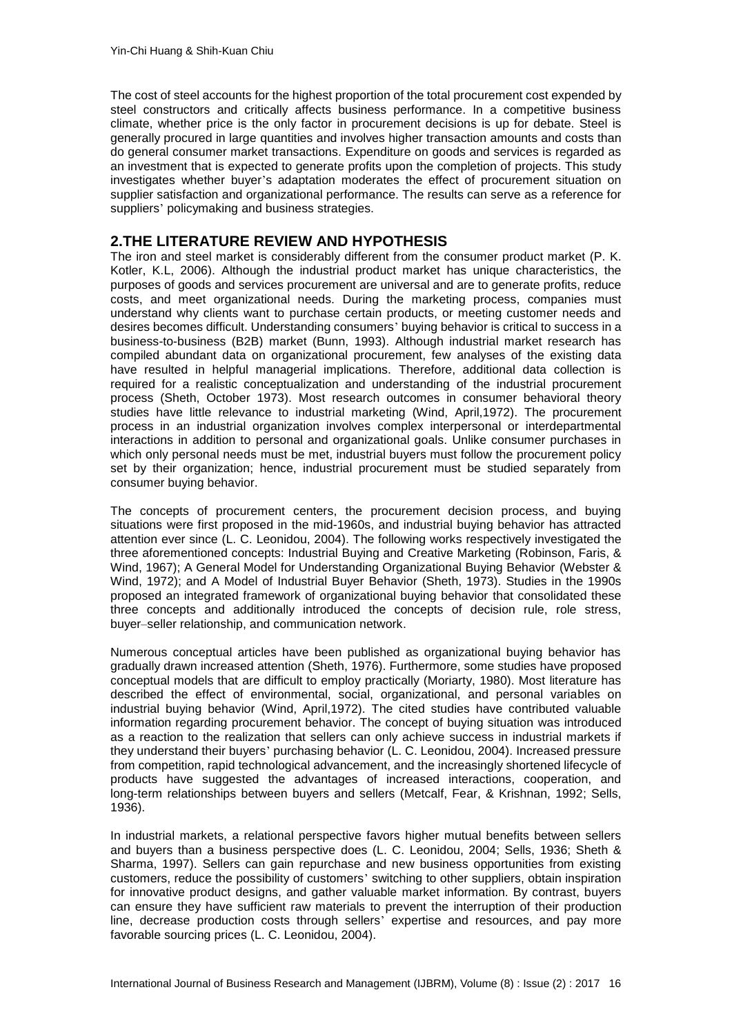The cost of steel accounts for the highest proportion of the total procurement cost expended by steel constructors and critically affects business performance. In a competitive business climate, whether price is the only factor in procurement decisions is up for debate. Steel is generally procured in large quantities and involves higher transaction amounts and costs than do general consumer market transactions. Expenditure on goods and services is regarded as an investment that is expected to generate profits upon the completion of projects. This study investigates whether buyer's adaptation moderates the effect of procurement situation on supplier satisfaction and organizational performance. The results can serve as a reference for suppliers' policymaking and business strategies.

## **2.THE LITERATURE REVIEW AND HYPOTHESIS**

The iron and steel market is considerably different from the consumer product market [\(P. K.](#page-15-0)  [Kotler, K.L, 2006\)](#page-15-0). Although the industrial product market has unique characteristics, the purposes of goods and services procurement are universal and are to generate profits, reduce costs, and meet organizational needs. During the marketing process, companies must understand why clients want to purchase certain products, or meeting customer needs and desires becomes difficult. Understanding consumers' buying behavior is critical to success in a business-to-business (B2B) market [\(Bunn, 1993\)](#page-14-0). Although industrial market research has compiled abundant data on organizational procurement, few analyses of the existing data have resulted in helpful managerial implications. Therefore, additional data collection is required for a realistic conceptualization and understanding of the industrial procurement process [\(Sheth, October 1973\)](#page-16-1). Most research outcomes in consumer behavioral theory studies have little relevance to industrial marketing (Wind, [April,1972\)](#page-17-0). The procurement process in an industrial organization involves complex interpersonal or interdepartmental interactions in addition to personal and organizational goals. Unlike consumer purchases in which only personal needs must be met, industrial buyers must follow the procurement policy set by their organization; hence, industrial procurement must be studied separately from consumer buying behavior.

The concepts of procurement centers, the procurement decision process, and buying situations were first proposed in the mid-1960s, and industrial buying behavior has attracted attention ever since [\(L. C. Leonidou, 2004\)](#page-15-1). The following works respectively investigated the three aforementioned concepts: Industrial Buying and Creative Marketing (Robinson, Faris, & Wind, 1967); A General Model for Understanding Organizational Buying Behavior (Webster & Wind, 1972); and A Model of Industrial Buyer Behavior (Sheth, 1973). Studies in the 1990s proposed an integrated framework of organizational buying behavior that consolidated these three concepts and additionally introduced the concepts of decision rule, role stress, buyer–seller relationship, and communication network.

Numerous conceptual articles have been published as organizational buying behavior has gradually drawn increased attention [\(Sheth, 1976\)](#page-16-2). Furthermore, some studies have proposed conceptual models that are difficult to employ practically [\(Moriarty, 1980\)](#page-16-3). Most literature has described the effect of environmental, social, organizational, and personal variables on industrial buying behavior [\(Wind, April,1972\)](#page-17-0). The cited studies have contributed valuable information regarding procurement behavior. The concept of buying situation was introduced as a reaction to the realization that sellers can only achieve success in industrial markets if they understand their buyers' purchasing behavior [\(L. C. Leonidou, 2004\)](#page-15-1). Increased pressure from competition, rapid technological advancement, and the increasingly shortened lifecycle of products have suggested the advantages of increased interactions, cooperation, and long-term relationships between buyers and sellers [\(Metcalf, Fear, & Krishnan, 1992;](#page-16-4) [Sells,](#page-16-5)  [1936\)](#page-16-5).

In industrial markets, a relational perspective favors higher mutual benefits between sellers and buyers than a business perspective does [\(L. C. Leonidou, 2004;](#page-15-1) [Sells, 1936;](#page-16-5) [Sheth &](#page-16-6)  [Sharma, 1997\)](#page-16-6). Sellers can gain repurchase and new business opportunities from existing customers, reduce the possibility of customers' switching to other suppliers, obtain inspiration for innovative product designs, and gather valuable market information. By contrast, buyers can ensure they have sufficient raw materials to prevent the interruption of their production line, decrease production costs through sellers' expertise and resources, and pay more favorable sourcing prices [\(L. C. Leonidou, 2004\)](#page-15-1).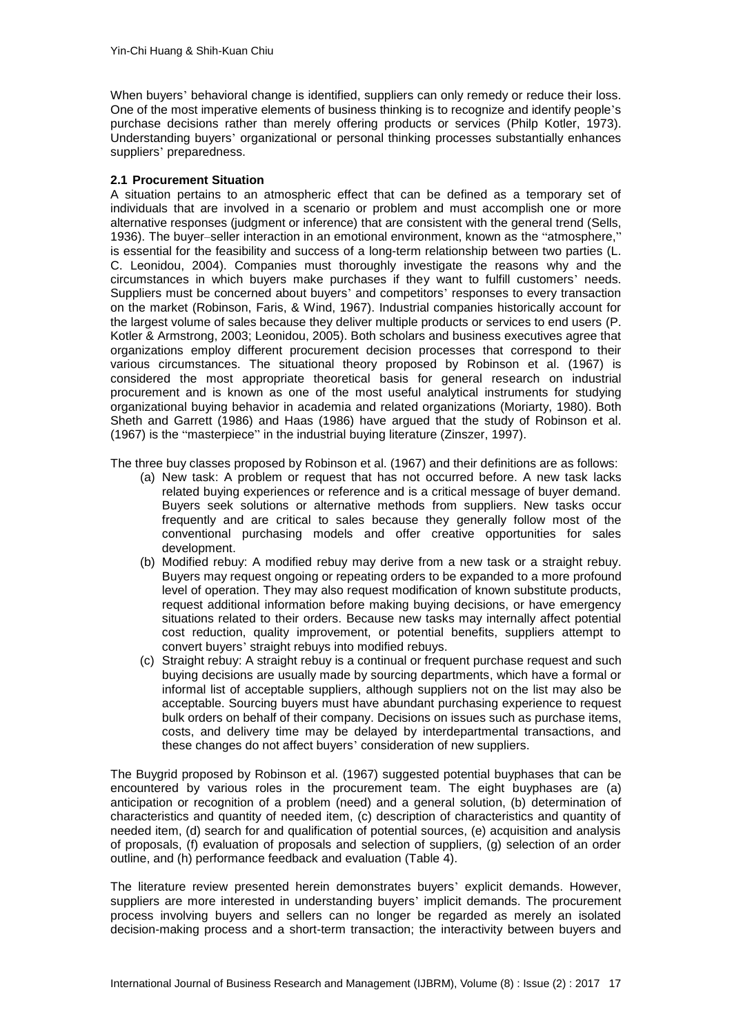When buyers' behavioral change is identified, suppliers can only remedy or reduce their loss. One of the most imperative elements of business thinking is to recognize and identify people's purchase decisions rather than merely offering products or services [\(Philp Kotler, 1973\)](#page-15-2). Understanding buyers' organizational or personal thinking processes substantially enhances suppliers' preparedness.

#### **2.1 Procurement Situation**

A situation pertains to an atmospheric effect that can be defined as a temporary set of individuals that are involved in a scenario or problem and must accomplish one or more alternative responses (judgment or inference) that are consistent with the general trend [\(Sells,](#page-16-5)  [1936\)](#page-16-5). The buyer–seller interaction in an emotional environment, known as the "atmosphere," is essential for the feasibility and success of a long-term relationship between two parties [\(L.](#page-15-1)  [C. Leonidou, 2004\)](#page-15-1). Companies must thoroughly investigate the reasons why and the circumstances in which buyers make purchases if they want to fulfill customers' needs. Suppliers must be concerned about buyers' and competitors' responses to every transaction on the market [\(Robinson, Faris, & Wind, 1967\)](#page-16-7). Industrial companies historically account for the largest volume of sales because they deliver multiple products or services to end users [\(P.](#page-15-3)  [Kotler & Armstrong, 2003;](#page-15-3) [Leonidou, 2005\)](#page-15-4). Both scholars and business executives agree that organizations employ different procurement decision processes that correspond to their various circumstances. The situational theory proposed by Robinson et al. (1967) is considered the most appropriate theoretical basis for general research on industrial procurement and is known as one of the most useful analytical instruments for studying organizational buying behavior in academia and related organizations [\(Moriarty, 1980\)](#page-16-3). Both Sheth and Garrett (1986) and Haas (1986) have argued that the study of Robinson et al. (1967) is the "masterpiece" in the industrial buying literature [\(Zinszer, 1997\)](#page-17-1).

The three buy classes proposed by Robinson et al. (1967) and their definitions are as follows:

- (a) New task: A problem or request that has not occurred before. A new task lacks related buying experiences or reference and is a critical message of buyer demand. Buyers seek solutions or alternative methods from suppliers. New tasks occur frequently and are critical to sales because they generally follow most of the conventional purchasing models and offer creative opportunities for sales development.
- (b) Modified rebuy: A modified rebuy may derive from a new task or a straight rebuy. Buyers may request ongoing or repeating orders to be expanded to a more profound level of operation. They may also request modification of known substitute products, request additional information before making buying decisions, or have emergency situations related to their orders. Because new tasks may internally affect potential cost reduction, quality improvement, or potential benefits, suppliers attempt to convert buyers' straight rebuys into modified rebuys.
- (c) Straight rebuy: A straight rebuy is a continual or frequent purchase request and such buying decisions are usually made by sourcing departments, which have a formal or informal list of acceptable suppliers, although suppliers not on the list may also be acceptable. Sourcing buyers must have abundant purchasing experience to request bulk orders on behalf of their company. Decisions on issues such as purchase items, costs, and delivery time may be delayed by interdepartmental transactions, and these changes do not affect buyers' consideration of new suppliers.

The Buygrid proposed by Robinson et al. (1967) suggested potential buyphases that can be encountered by various roles in the procurement team. The eight buyphases are (a) anticipation or recognition of a problem (need) and a general solution, (b) determination of characteristics and quantity of needed item, (c) description of characteristics and quantity of needed item, (d) search for and qualification of potential sources, (e) acquisition and analysis of proposals, (f) evaluation of proposals and selection of suppliers, (g) selection of an order outline, and (h) performance feedback and evaluation (Table 4).

The literature review presented herein demonstrates buyers' explicit demands. However, suppliers are more interested in understanding buyers' implicit demands. The procurement process involving buyers and sellers can no longer be regarded as merely an isolated decision-making process and a short-term transaction; the interactivity between buyers and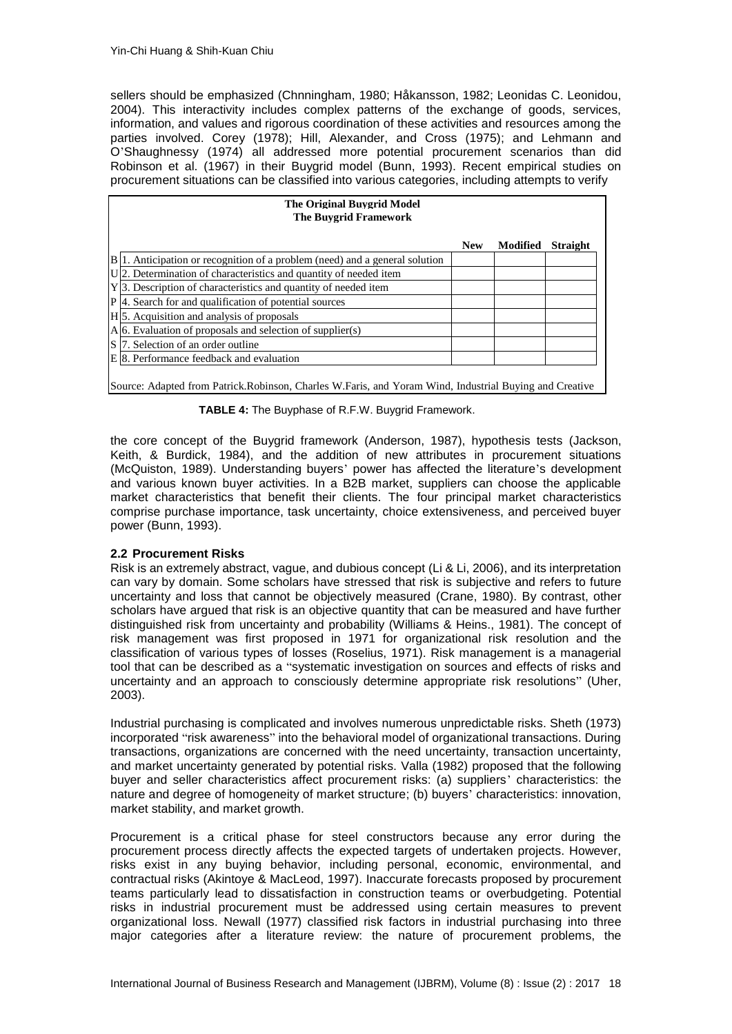sellers should be emphasized [\(Chnningham, 1980;](#page-14-1) [Håkansson, 1982;](#page-15-5) [Leonidas C. Leonidou,](#page-15-6)  [2004\)](#page-15-6). This interactivity includes complex patterns of the exchange of goods, services, information, and values and rigorous coordination of these activities and resources among the parties involved. Corey (1978); Hill, Alexander, and Cross (1975); and Lehmann and O'Shaughnessy (1974) all addressed more potential procurement scenarios than did Robinson et al. (1967) in their Buygrid model [\(Bunn, 1993\)](#page-14-0). Recent empirical studies on procurement situations can be classified into various categories, including attempts to verify

| <b>The Original Buygrid Model</b><br>The Buygrid Framework                                               |            |          |                 |  |  |  |  |  |
|----------------------------------------------------------------------------------------------------------|------------|----------|-----------------|--|--|--|--|--|
|                                                                                                          | <b>New</b> | Modified | <b>Straight</b> |  |  |  |  |  |
| $B(1)$ . Anticipation or recognition of a problem (need) and a general solution                          |            |          |                 |  |  |  |  |  |
| U. 2. Determination of characteristics and quantity of needed item                                       |            |          |                 |  |  |  |  |  |
| Y 3. Description of characteristics and quantity of needed item                                          |            |          |                 |  |  |  |  |  |
| P 4. Search for and qualification of potential sources                                                   |            |          |                 |  |  |  |  |  |
| H <sub>15</sub> . Acquisition and analysis of proposals                                                  |            |          |                 |  |  |  |  |  |
| $A 6$ . Evaluation of proposals and selection of supplier(s)                                             |            |          |                 |  |  |  |  |  |
| S 7. Selection of an order outline                                                                       |            |          |                 |  |  |  |  |  |
| E 8. Performance feedback and evaluation                                                                 |            |          |                 |  |  |  |  |  |
| Source: Adapted from Patrick. Robinson, Charles W. Faris, and Yoram Wind, Industrial Buying and Creative |            |          |                 |  |  |  |  |  |

**TABLE 4:** The Buyphase of R.F.W. Buygrid Framework.

the core concept of the Buygrid framework [\(Anderson, 1987\)](#page-14-2), hypothesis tests [\(Jackson,](#page-15-7)  [Keith, & Burdick, 1984\)](#page-15-7), and the addition of new attributes in procurement situations [\(McQuiston, 1989\)](#page-16-8). Understanding buyers' power has affected the literature's development and various known buyer activities. In a B2B market, suppliers can choose the applicable market characteristics that benefit their clients. The four principal market characteristics comprise purchase importance, task uncertainty, choice extensiveness, and perceived buyer power (Bunn, 1993).

### **2.2 Procurement Risks**

Risk is an extremely abstract, vague, and dubious concept [\(Li & Li, 2006\)](#page-15-8), and its interpretation can vary by domain. Some scholars have stressed that risk is subjective and refers to future uncertainty and loss that cannot be objectively measured [\(Crane, 1980\)](#page-14-3). By contrast, other scholars have argued that risk is an objective quantity that can be measured and have further distinguished risk from uncertainty and probability [\(Williams & Heins., 1981\)](#page-17-2). The concept of risk management was first proposed in 1971 for organizational risk resolution and the classification of various types of losses [\(Roselius, 1971\)](#page-16-9). Risk management is a managerial tool that can be described as a "systematic investigation on sources and effects of risks and uncertainty and an approach to consciously determine appropriate risk resolutions" [\(Uher,](#page-16-10)  [2003\)](#page-16-10).

Industrial purchasing is complicated and involves numerous unpredictable risks. Sheth (1973) incorporated "risk awareness" into the behavioral model of organizational transactions. During transactions, organizations are concerned with the need uncertainty, transaction uncertainty, and market uncertainty generated by potential risks. Valla (1982) proposed that the following buyer and seller characteristics affect procurement risks: (a) suppliers' characteristics: the nature and degree of homogeneity of market structure; (b) buyers' characteristics: innovation, market stability, and market growth.

Procurement is a critical phase for steel constructors because any error during the procurement process directly affects the expected targets of undertaken projects. However, risks exist in any buying behavior, including personal, economic, environmental, and contractual risks [\(Akintoye & MacLeod, 1997\)](#page-14-4). Inaccurate forecasts proposed by procurement teams particularly lead to dissatisfaction in construction teams or overbudgeting. Potential risks in industrial procurement must be addressed using certain measures to prevent organizational loss. Newall (1977) classified risk factors in industrial purchasing into three major categories after a literature review: the nature of procurement problems, the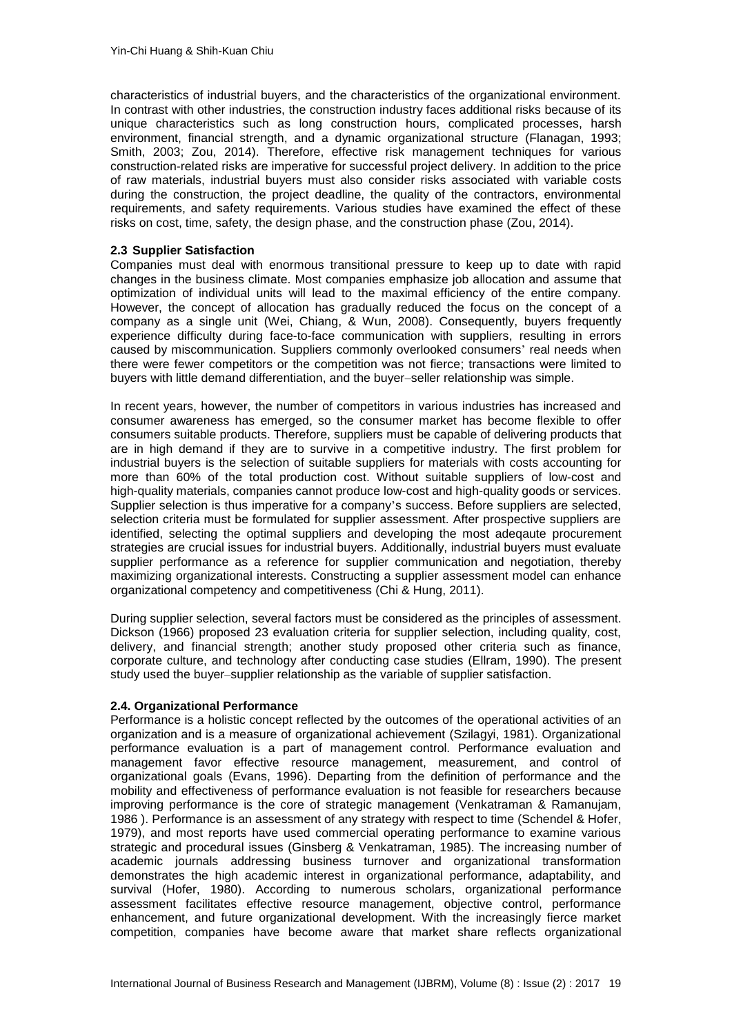characteristics of industrial buyers, and the characteristics of the organizational environment. In contrast with other industries, the construction industry faces additional risks because of its unique characteristics such as long construction hours, complicated processes, harsh environment, financial strength, and a dynamic organizational structure [\(Flanagan, 1993;](#page-15-9) [Smith, 2003;](#page-16-11) [Zou, 2014\)](#page-17-3). Therefore, effective risk management techniques for various construction-related risks are imperative for successful project delivery. In addition to the price of raw materials, industrial buyers must also consider risks associated with variable costs during the construction, the project deadline, the quality of the contractors, environmental requirements, and safety requirements. Various studies have examined the effect of these risks on cost, time, safety, the design phase, and the construction phase [\(Zou, 2014\)](#page-17-3).

#### **2.3 Supplier Satisfaction**

Companies must deal with enormous transitional pressure to keep up to date with rapid changes in the business climate. Most companies emphasize job allocation and assume that optimization of individual units will lead to the maximal efficiency of the entire company. However, the concept of allocation has gradually reduced the focus on the concept of a company as a single unit [\(Wei, Chiang, & Wun, 2008\)](#page-16-12). Consequently, buyers frequently experience difficulty during face-to-face communication with suppliers, resulting in errors caused by miscommunication. Suppliers commonly overlooked consumers' real needs when there were fewer competitors or the competition was not fierce; transactions were limited to buyers with little demand differentiation, and the buyer–seller relationship was simple.

In recent years, however, the number of competitors in various industries has increased and consumer awareness has emerged, so the consumer market has become flexible to offer consumers suitable products. Therefore, suppliers must be capable of delivering products that are in high demand if they are to survive in a competitive industry. The first problem for industrial buyers is the selection of suitable suppliers for materials with costs accounting for more than 60% of the total production cost. Without suitable suppliers of low-cost and high-quality materials, companies cannot produce low-cost and high-quality goods or services. Supplier selection is thus imperative for a company's success. Before suppliers are selected, selection criteria must be formulated for supplier assessment. After prospective suppliers are identified, selecting the optimal suppliers and developing the most adeqaute procurement strategies are crucial issues for industrial buyers. Additionally, industrial buyers must evaluate supplier performance as a reference for supplier communication and negotiation, thereby maximizing organizational interests. Constructing a supplier assessment model can enhance organizational competency and competitiveness (Chi & Hung, 2011).

During supplier selection, several factors must be considered as the principles of assessment. Dickson (1966) proposed 23 evaluation criteria for supplier selection, including quality, cost, delivery, and financial strength; another study proposed other criteria such as finance, corporate culture, and technology after conducting case studies [\(Ellram, 1990\)](#page-15-10). The present study used the buyer–supplier relationship as the variable of supplier satisfaction.

#### **2.4. Organizational Performance**

Performance is a holistic concept reflected by the outcomes of the operational activities of an organization and is a measure of organizational achievement [\(Szilagyi, 1981\)](#page-16-13). Organizational performance evaluation is a part of management control. Performance evaluation and management favor effective resource management, measurement, and control of organizational goals [\(Evans, 1996\)](#page-15-11). Departing from the definition of performance and the mobility and effectiveness of performance evaluation is not feasible for researchers because improving performance is the core of strategic management [\(Venkatraman & Ramanujam,](#page-16-14)  [1986 \)](#page-16-14). Performance is an assessment of any strategy with respect to time [\(Schendel & Hofer,](#page-16-15)  [1979\)](#page-16-15), and most reports have used commercial operating performance to examine various strategic and procedural issues [\(Ginsberg & Venkatraman, 1985\)](#page-15-12). The increasing number of academic journals addressing business turnover and organizational transformation demonstrates the high academic interest in organizational performance, adaptability, and survival [\(Hofer, 1980\)](#page-15-13). According to numerous scholars, organizational performance assessment facilitates effective resource management, objective control, performance enhancement, and future organizational development. With the increasingly fierce market competition, companies have become aware that market share reflects organizational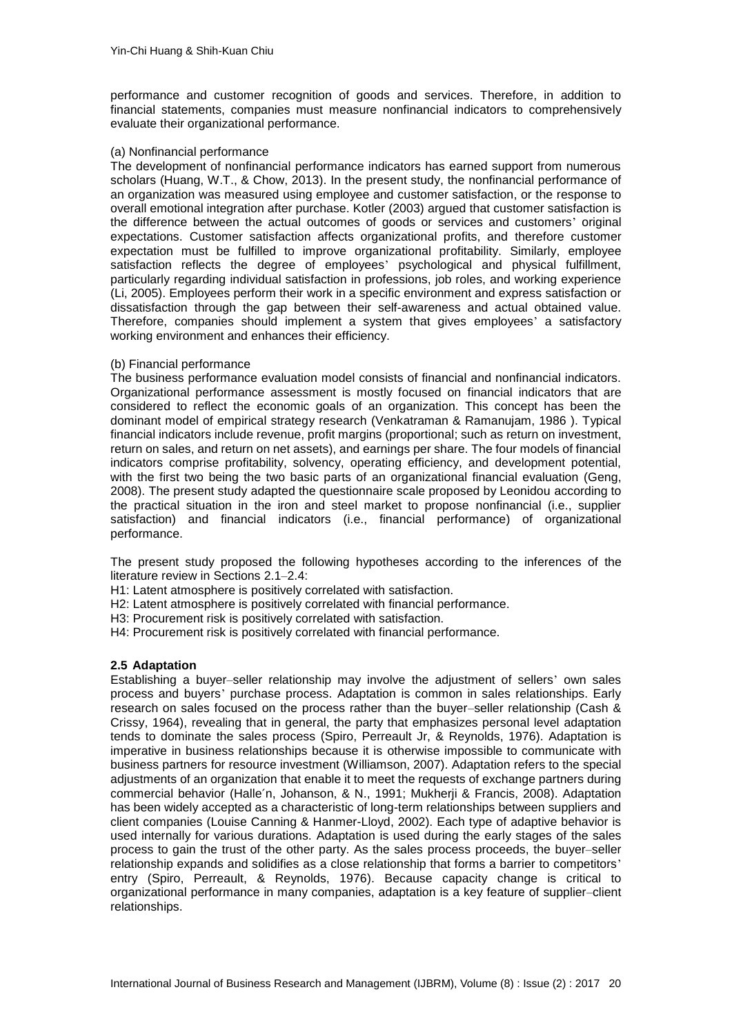performance and customer recognition of goods and services. Therefore, in addition to financial statements, companies must measure nonfinancial indicators to comprehensively evaluate their organizational performance.

#### (a) Nonfinancial performance

The development of nonfinancial performance indicators has earned support from numerous scholars [\(Huang, W.T., & Chow, 2013\)](#page-15-14). In the present study, the nonfinancial performance of an organization was measured using employee and customer satisfaction, or the response to overall emotional integration after purchase. Kotler (2003) argued that customer satisfaction is the difference between the actual outcomes of goods or services and customers' original expectations. Customer satisfaction affects organizational profits, and therefore customer expectation must be fulfilled to improve organizational profitability. Similarly, employee satisfaction reflects the degree of employees' psychological and physical fulfillment, particularly regarding individual satisfaction in professions, job roles, and working experience [\(Li, 2005\)](#page-15-15). Employees perform their work in a specific environment and express satisfaction or dissatisfaction through the gap between their self-awareness and actual obtained value. Therefore, companies should implement a system that gives employees' a satisfactory working environment and enhances their efficiency.

#### (b) Financial performance

The business performance evaluation model consists of financial and nonfinancial indicators. Organizational performance assessment is mostly focused on financial indicators that are considered to reflect the economic goals of an organization. This concept has been the dominant model of empirical strategy research [\(Venkatraman & Ramanujam, 1986 \)](#page-16-14). Typical financial indicators include revenue, profit margins (proportional; such as return on investment, return on sales, and return on net assets), and earnings per share. The four models of financial indicators comprise profitability, solvency, operating efficiency, and development potential, with the first two being the two basic parts of an organizational financial evaluation [\(Geng,](#page-15-16)  [2008\)](#page-15-16). The present study adapted the questionnaire scale proposed by Leonidou according to the practical situation in the iron and steel market to propose nonfinancial (i.e., supplier satisfaction) and financial indicators (i.e., financial performance) of organizational performance.

The present study proposed the following hypotheses according to the inferences of the literature review in Sections 2.1–2.4:

- H1: Latent atmosphere is positively correlated with satisfaction.
- H2: Latent atmosphere is positively correlated with financial performance.
- H3: Procurement risk is positively correlated with satisfaction.
- H4: Procurement risk is positively correlated with financial performance.

### **2.5 Adaptation**

Establishing a buyer–seller relationship may involve the adjustment of sellers' own sales process and buyers' purchase process. Adaptation is common in sales relationships. Early research on sales focused on the process rather than the buyer–seller relationship (Cash & Crissy, 1964), revealing that in general, the party that emphasizes personal level adaptation tends to dominate the sales process (Spiro, Perreault [Jr, & Reynolds, 1976\)](#page-16-16). Adaptation is imperative in business relationships because it is otherwise impossible to communicate with business partners for resource investment [\(Williamson, 2007\)](#page-17-4). Adaptation refers to the special adjustments of an organization that enable it to meet the requests of exchange partners during commercial behavior (Halle´[n, Johanson, & N., 1991;](#page-15-17) [Mukherji & Francis, 2008\)](#page-16-17). Adaptation has been widely accepted as a characteristic of long-term relationships between suppliers and client companies [\(Louise Canning & Hanmer-Lloyd, 2002\)](#page-14-5). Each type of adaptive behavior is used internally for various durations. Adaptation is used during the early stages of the sales process to gain the trust of the other party. As the sales process proceeds, the buyer–seller relationship expands and solidifies as a close relationship that forms a barrier to competitors' entry [\(Spiro, Perreault, & Reynolds, 1976\)](#page-16-18). Because capacity change is critical to organizational performance in many companies, adaptation is a key feature of supplier–client relationships.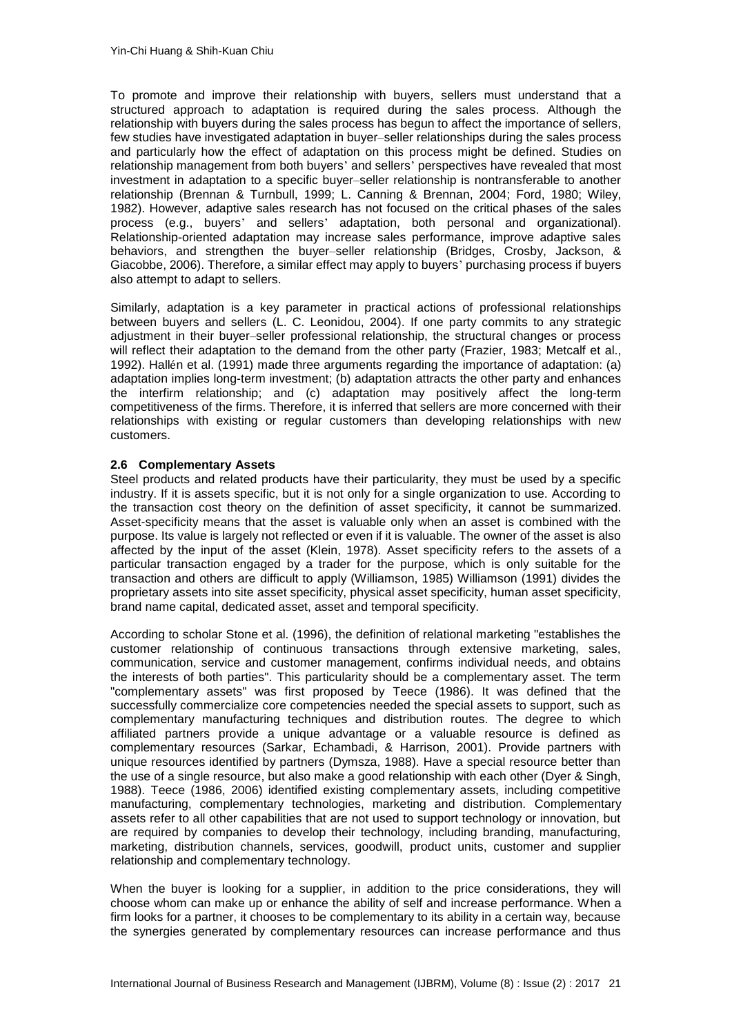To promote and improve their relationship with buyers, sellers must understand that a structured approach to adaptation is required during the sales process. Although the relationship with buyers during the sales process has begun to affect the importance of sellers, few studies have investigated adaptation in buyer–seller relationships during the sales process and particularly how the effect of adaptation on this process might be defined. Studies on relationship management from both buyers' and sellers' perspectives have revealed that most investment in adaptation to a specific buyer–seller relationship is nontransferable to another relationship [\(Brennan & Turnbull, 1999;](#page-14-6) [L. Canning & Brennan, 2004;](#page-14-7) [Ford, 1980;](#page-15-18) [Wiley,](#page-16-19)  [1982\)](#page-16-19). However, adaptive sales research has not focused on the critical phases of the sales process (e.g., buyers' and sellers' adaptation, both personal and organizational). Relationship-oriented adaptation may increase sales performance, improve adaptive sales behaviors, and strengthen the buyer–seller relationship [\(Bridges, Crosby, Jackson, &](#page-14-8)  [Giacobbe, 2006\)](#page-14-8). Therefore, a similar effect may apply to buyers' purchasing process if buyers also attempt to adapt to sellers.

Similarly, adaptation is a key parameter in practical actions of professional relationships between buyers and sellers [\(L. C. Leonidou, 2004\)](#page-15-1). If one party commits to any strategic adjustment in their buyer–seller professional relationship, the structural changes or process will reflect their adaptation to the demand from the other party [\(Frazier, 1983;](#page-15-19) [Metcalf et al.,](#page-16-4)  [1992\)](#page-16-4). Hallén et al. (1991) made three arguments regarding the importance of adaptation: (a) adaptation implies long-term investment; (b) adaptation attracts the other party and enhances the interfirm relationship; and (c) adaptation may positively affect the long-term competitiveness of the firms. Therefore, it is inferred that sellers are more concerned with their relationships with existing or regular customers than developing relationships with new customers.

#### **2.6 Complementary Assets**

Steel products and related products have their particularity, they must be used by a specific industry. If it is assets specific, but it is not only for a single organization to use. According to the transaction cost theory on the definition of asset specificity, it cannot be summarized. Asset-specificity means that the asset is valuable only when an asset is combined with the purpose. Its value is largely not reflected or even if it is valuable. The owner of the asset is also affected by the input of the asset (Klein, 1978). Asset specificity refers to the assets of a particular transaction engaged by a trader for the purpose, which is only suitable for the transaction and others are difficult to apply (Williamson, 1985) Williamson (1991) divides the proprietary assets into site asset specificity, physical asset specificity, human asset specificity, brand name capital, dedicated asset, asset and temporal specificity.

According to scholar Stone et al. (1996), the definition of relational marketing "establishes the customer relationship of continuous transactions through extensive marketing, sales, communication, service and customer management, confirms individual needs, and obtains the interests of both parties". This particularity should be a complementary asset. The term "complementary assets" was first proposed by Teece (1986). It was defined that the successfully commercialize core competencies needed the special assets to support, such as complementary manufacturing techniques and distribution routes. The degree to which affiliated partners provide a unique advantage or a valuable resource is defined as complementary resources (Sarkar, Echambadi, & Harrison, 2001). Provide partners with unique resources identified by partners (Dymsza, 1988). Have a special resource better than the use of a single resource, but also make a good relationship with each other (Dyer & Singh, 1988). Teece (1986, 2006) identified existing complementary assets, including competitive manufacturing, complementary technologies, marketing and distribution. Complementary assets refer to all other capabilities that are not used to support technology or innovation, but are required by companies to develop their technology, including branding, manufacturing, marketing, distribution channels, services, goodwill, product units, customer and supplier relationship and complementary technology.

When the buyer is looking for a supplier, in addition to the price considerations, they will choose whom can make up or enhance the ability of self and increase performance. When a firm looks for a partner, it chooses to be complementary to its ability in a certain way, because the synergies generated by complementary resources can increase performance and thus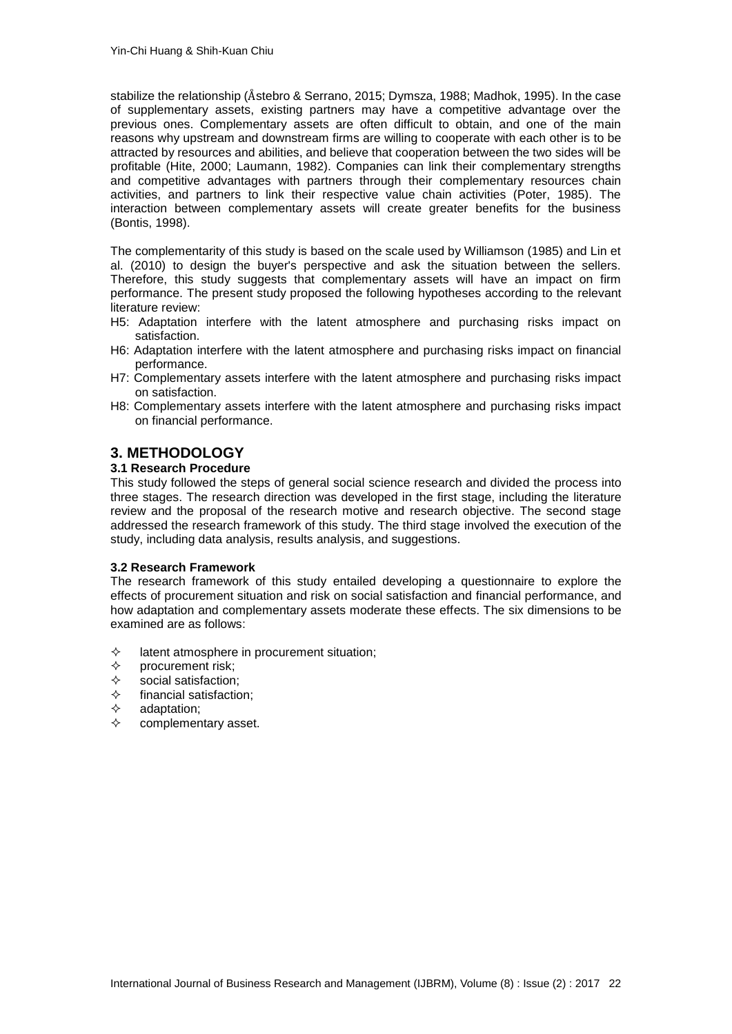stabilize the relationship (Åstebro & Serrano, 2015; Dymsza, 1988; Madhok, 1995). In the case of supplementary assets, existing partners may have a competitive advantage over the previous ones. Complementary assets are often difficult to obtain, and one of the main reasons why upstream and downstream firms are willing to cooperate with each other is to be attracted by resources and abilities, and believe that cooperation between the two sides will be profitable (Hite, 2000; Laumann, 1982). Companies can link their complementary strengths and competitive advantages with partners through their complementary resources chain activities, and partners to link their respective value chain activities (Poter, 1985). The interaction between complementary assets will create greater benefits for the business (Bontis, 1998).

The complementarity of this study is based on the scale used by Williamson (1985) and Lin et al. (2010) to design the buyer's perspective and ask the situation between the sellers. Therefore, this study suggests that complementary assets will have an impact on firm performance. The present study proposed the following hypotheses according to the relevant literature review:

- H5: Adaptation interfere with the latent atmosphere and purchasing risks impact on satisfaction.
- H6: Adaptation interfere with the latent atmosphere and purchasing risks impact on financial performance.
- H7: Complementary assets interfere with the latent atmosphere and purchasing risks impact on satisfaction.
- H8: Complementary assets interfere with the latent atmosphere and purchasing risks impact on financial performance.

## **3. METHODOLOGY**

#### **3.1 Research Procedure**

This study followed the steps of general social science research and divided the process into three stages. The research direction was developed in the first stage, including the literature review and the proposal of the research motive and research objective. The second stage addressed the research framework of this study. The third stage involved the execution of the study, including data analysis, results analysis, and suggestions.

#### **3.2 Research Framework**

The research framework of this study entailed developing a questionnaire to explore the effects of procurement situation and risk on social satisfaction and financial performance, and how adaptation and complementary assets moderate these effects. The six dimensions to be examined are as follows:

- $\Diamond$  latent atmosphere in procurement situation;
- $\Leftrightarrow$  procurement risk;
- $\diamondsuit$  social satisfaction;<br>  $\diamondsuit$  financial satisfaction
- financial satisfaction;
- $\Leftrightarrow$  adaptation:
- $\Leftrightarrow$  complementary asset.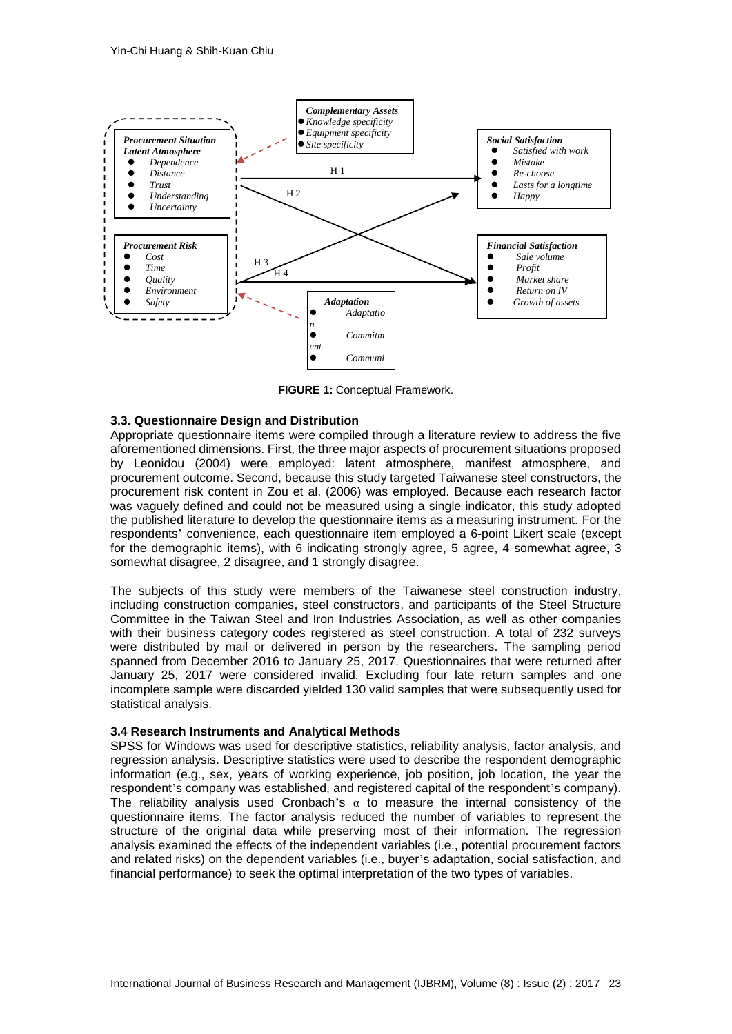

**FIGURE 1:** Conceptual Framework. **RE 1:** Conceptu

#### **3.3. Questionnaire Design and Distribution**

Appropriate questionnaire items were compiled through a literature review to address the five aforementioned dimensions. First, the three major aspects of procurement situations proposed by Leonidou (2004) were employed: latent atmosphere, manifest atmosphere, and procurement outcome. Second, because this study targeted Taiwanese steel constructors, the procurement risk content in Zou et al. (2006) was employed. Because each research factor was vaguely defined and could not be measured using a single indicator, this study adopted the published literature to develop the questionnaire items as a measuring instrument. For the respondents' convenience, each questionnaire item employed a 6-point Likert scale (except for the demographic items), with 6 indicating strongly agree, 5 agree, 4 somewhat agree, 3 somewhat disagree, 2 disagree, and 1 strongly disagree.

The subjects of this study were members of the Taiwanese steel construction industry, including construction companies, steel constructors, and participants of the Steel Structure Committee in the Taiwan Steel and Iron Industries Association, as well as other companies with their business category codes registered as steel construction. A total of 232 surveys were distributed by mail or delivered in person by the researchers. The sampling period spanned from December 2016 to January 25, 2017. Questionnaires that were returned after January 25, 2017 were considered invalid. Excluding four late return samples and one incomplete sample were discarded yielded 130 valid samples that were subsequently used for statistical analysis.

#### **3.4 Research Instruments and Analytical Methods**

SPSS for Windows was used for descriptive statistics, reliability analysis, factor analysis, and regression analysis. Descriptive statistics were used to describe the respondent demographic information (e.g., sex, years of working experience, job position, job location, the year the respondent's company was established, and registered capital of the respondent's company). The reliability analysis used Cronbach's  $\alpha$  to measure the internal consistency of the questionnaire items. The factor analysis reduced the number of variables to represent the structure of the original data while preserving most of their information. The regression analysis examined the effects of the independent variables (i.e., potential procurement factors and related risks) on the dependent variables (i.e., buyer's adaptation, social satisfaction, and financial performance) to seek the optimal interpretation of the two types of variables.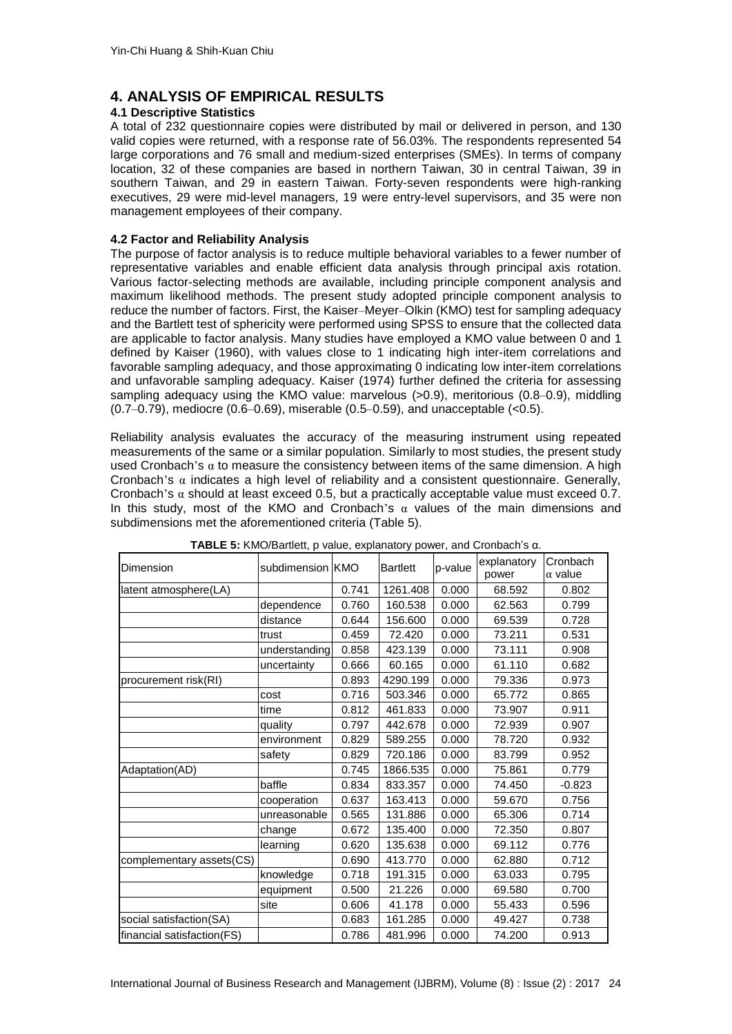## **4. ANALYSIS OF EMPIRICAL RESULTS**

#### **4.1 Descriptive Statistics**

A total of 232 questionnaire copies were distributed by mail or delivered in person, and 130 valid copies were returned, with a response rate of 56.03%. The respondents represented 54 large corporations and 76 small and medium-sized enterprises (SMEs). In terms of company location, 32 of these companies are based in northern Taiwan, 30 in central Taiwan, 39 in southern Taiwan, and 29 in eastern Taiwan. Forty-seven respondents were high-ranking executives, 29 were mid-level managers, 19 were entry-level supervisors, and 35 were non management employees of their company.

#### **4.2 Factor and Reliability Analysis**

The purpose of factor analysis is to reduce multiple behavioral variables to a fewer number of representative variables and enable efficient data analysis through principal axis rotation. Various factor-selecting methods are available, including principle component analysis and maximum likelihood methods. The present study adopted principle component analysis to reduce the number of factors. First, the Kaiser–Meyer–Olkin (KMO) test for sampling adequacy and the Bartlett test of sphericity were performed using SPSS to ensure that the collected data are applicable to factor analysis. Many studies have employed a KMO value between 0 and 1 defined by Kaiser (1960), with values close to 1 indicating high inter-item correlations and favorable sampling adequacy, and those approximating 0 indicating low inter-item correlations and unfavorable sampling adequacy. Kaiser (1974) further defined the criteria for assessing sampling adequacy using the KMO value: marvelous (>0.9), meritorious (0.8–0.9), middling (0.7–0.79), mediocre (0.6–0.69), miserable (0.5–0.59), and unacceptable (<0.5).

Reliability analysis evaluates the accuracy of the measuring instrument using repeated measurements of the same or a similar population. Similarly to most studies, the present study used Cronbach's  $\alpha$  to measure the consistency between items of the same dimension. A high Cronbach's  $\alpha$  indicates a high level of reliability and a consistent questionnaire. Generally, Cronbach's  $\alpha$  should at least exceed 0.5, but a practically acceptable value must exceed 0.7. In this study, most of the KMO and Cronbach's  $\alpha$  values of the main dimensions and subdimensions met the aforementioned criteria (Table 5).

| Dimension                  | subdimension KMO |       | <b>Bartlett</b> | p-value | explanatory<br>power | Cronbach<br>$\alpha$ value |
|----------------------------|------------------|-------|-----------------|---------|----------------------|----------------------------|
| latent atmosphere(LA)      |                  | 0.741 | 1261.408        | 0.000   | 68.592               | 0.802                      |
|                            | dependence       | 0.760 | 160.538         | 0.000   | 62.563               | 0.799                      |
|                            | distance         | 0.644 | 156.600         | 0.000   | 69.539               | 0.728                      |
|                            | trust            | 0.459 | 72.420          | 0.000   | 73.211               | 0.531                      |
|                            | understanding    | 0.858 | 423.139         | 0.000   | 73.111               | 0.908                      |
|                            | uncertainty      | 0.666 | 60.165          | 0.000   | 61.110               | 0.682                      |
| procurement risk(RI)       |                  | 0.893 | 4290.199        | 0.000   | 79.336               | 0.973                      |
|                            | cost             | 0.716 | 503.346         | 0.000   | 65.772               | 0.865                      |
|                            | time             | 0.812 | 461.833         | 0.000   | 73.907               | 0.911                      |
|                            | quality          | 0.797 | 442.678         | 0.000   | 72.939               | 0.907                      |
|                            | environment      | 0.829 | 589.255         | 0.000   | 78.720               | 0.932                      |
|                            | safety           | 0.829 | 720.186         | 0.000   | 83.799               | 0.952                      |
| Adaptation(AD)             |                  | 0.745 | 1866.535        | 0.000   | 75.861               | 0.779                      |
|                            | baffle           | 0.834 | 833.357         | 0.000   | 74.450               | $-0.823$                   |
|                            | cooperation      | 0.637 | 163.413         | 0.000   | 59.670               | 0.756                      |
|                            | unreasonable     | 0.565 | 131.886         | 0.000   | 65.306               | 0.714                      |
|                            | change           | 0.672 | 135.400         | 0.000   | 72.350               | 0.807                      |
|                            | learning         | 0.620 | 135.638         | 0.000   | 69.112               | 0.776                      |
| complementary assets(CS)   |                  | 0.690 | 413.770         | 0.000   | 62.880               | 0.712                      |
|                            | knowledge        | 0.718 | 191.315         | 0.000   | 63.033               | 0.795                      |
|                            | equipment        | 0.500 | 21.226          | 0.000   | 69.580               | 0.700                      |
|                            | site             | 0.606 | 41.178          | 0.000   | 55.433               | 0.596                      |
| social satisfaction(SA)    |                  | 0.683 | 161.285         | 0.000   | 49.427               | 0.738                      |
| financial satisfaction(FS) |                  | 0.786 | 481.996         | 0.000   | 74.200               | 0.913                      |

#### **TABLE 5:** KMO/Bartlett, p value, explanatory power, and Cronbach's α.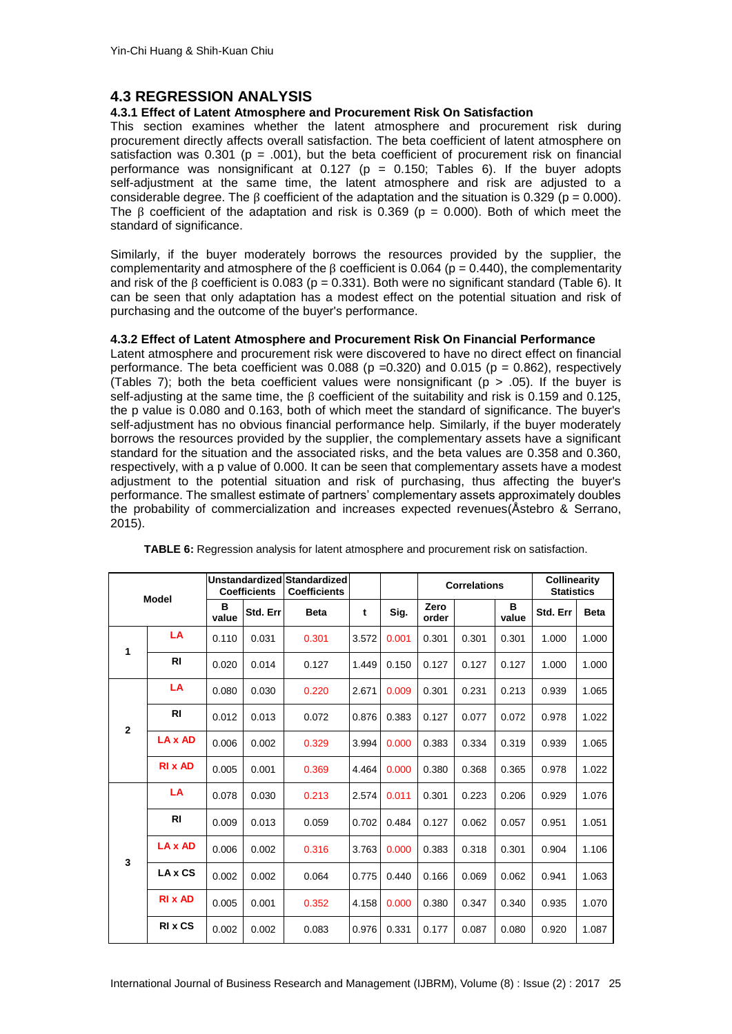## **4.3 REGRESSION ANALYSIS**

### **4.3.1 Effect of Latent Atmosphere and Procurement Risk On Satisfaction**

This section examines whether the latent atmosphere and procurement risk during procurement directly affects overall satisfaction. The beta coefficient of latent atmosphere on satisfaction was 0.301 ( $p = .001$ ), but the beta coefficient of procurement risk on financial performance was nonsignificant at  $0.127$  (p = 0.150; Tables 6). If the buyer adopts self-adjustment at the same time, the latent atmosphere and risk are adjusted to a considerable degree. The  $\beta$  coefficient of the adaptation and the situation is 0.329 (p = 0.000). The  $\beta$  coefficient of the adaptation and risk is 0.369 (p = 0.000). Both of which meet the standard of significance.

Similarly, if the buyer moderately borrows the resources provided by the supplier, the complementarity and atmosphere of the  $\beta$  coefficient is 0.064 (p = 0.440), the complementarity and risk of the  $\beta$  coefficient is 0.083 (p = 0.331). Both were no significant standard (Table 6). It can be seen that only adaptation has a modest effect on the potential situation and risk of purchasing and the outcome of the buyer's performance.

#### **4.3.2 Effect of Latent Atmosphere and Procurement Risk On Financial Performance**

Latent atmosphere and procurement risk were discovered to have no direct effect on financial performance. The beta coefficient was  $0.088$  (p =0.320) and  $0.015$  (p = 0.862), respectively (Tables 7); both the beta coefficient values were nonsignificant ( $p > .05$ ). If the buyer is self-adjusting at the same time, the β coefficient of the suitability and risk is 0.159 and 0.125, the p value is 0.080 and 0.163, both of which meet the standard of significance. The buyer's self-adjustment has no obvious financial performance help. Similarly, if the buyer moderately borrows the resources provided by the supplier, the complementary assets have a significant standard for the situation and the associated risks, and the beta values are 0.358 and 0.360, respectively, with a p value of 0.000. It can be seen that complementary assets have a modest adjustment to the potential situation and risk of purchasing, thus affecting the buyer's performance. The smallest estimate of partners' complementary assets approximately doubles the probability of commercialization and increases expected revenues[\(Åstebro & Serrano,](#page-14-9)  [2015\)](#page-14-9).

| <b>Model</b>   |                |            | <b>Coefficients</b> | Unstandardized Standardized<br><b>Coefficients</b> |       |       |               | <b>Correlations</b> |            | <b>Collinearity</b><br><b>Statistics</b> |             |
|----------------|----------------|------------|---------------------|----------------------------------------------------|-------|-------|---------------|---------------------|------------|------------------------------------------|-------------|
|                |                | в<br>value | Std. Err            | <b>Beta</b>                                        | t     | Sig.  | Zero<br>order |                     | B<br>value | Std. Err                                 | <b>Beta</b> |
| 1              | LA             | 0.110      | 0.031               | 0.301                                              | 3.572 | 0.001 | 0.301         | 0.301               | 0.301      | 1.000                                    | 1.000       |
|                | R <sub>1</sub> | 0.020      | 0.014               | 0.127                                              | 1.449 | 0.150 | 0.127         | 0.127               | 0.127      | 1.000                                    | 1.000       |
|                | LA             | 0.080      | 0.030               | 0.220                                              | 2.671 | 0.009 | 0.301         | 0.231               | 0.213      | 0.939                                    | 1.065       |
| $\overline{2}$ | <b>RI</b>      | 0.012      | 0.013               | 0.072                                              | 0.876 | 0.383 | 0.127         | 0.077               | 0.072      | 0.978                                    | 1.022       |
| 3              | LA x AD        | 0.006      | 0.002               | 0.329                                              | 3.994 | 0.000 | 0.383         | 0.334               | 0.319      | 0.939                                    | 1.065       |
|                | <b>RIX AD</b>  | 0.005      | 0.001               | 0.369                                              | 4.464 | 0.000 | 0.380         | 0.368               | 0.365      | 0.978                                    | 1.022       |
|                | LA             | 0.078      | 0.030               | 0.213                                              | 2.574 | 0.011 | 0.301         | 0.223               | 0.206      | 0.929                                    | 1.076       |
|                | <b>RI</b>      | 0.009      | 0.013               | 0.059                                              | 0.702 | 0.484 | 0.127         | 0.062               | 0.057      | 0.951                                    | 1.051       |
|                | LA x AD        | 0.006      | 0.002               | 0.316                                              | 3.763 | 0.000 | 0.383         | 0.318               | 0.301      | 0.904                                    | 1.106       |
|                | LA x CS        | 0.002      | 0.002               | 0.064                                              | 0.775 | 0.440 | 0.166         | 0.069               | 0.062      | 0.941                                    | 1.063       |
|                | <b>RIX AD</b>  | 0.005      | 0.001               | 0.352                                              | 4.158 | 0.000 | 0.380         | 0.347               | 0.340      | 0.935                                    | 1.070       |
|                | <b>RIX CS</b>  | 0.002      | 0.002               | 0.083                                              | 0.976 | 0.331 | 0.177         | 0.087               | 0.080      | 0.920                                    | 1.087       |

|  |  |  | <b>TABLE 6:</b> Regression analysis for latent atmosphere and procurement risk on satisfaction. |
|--|--|--|-------------------------------------------------------------------------------------------------|
|--|--|--|-------------------------------------------------------------------------------------------------|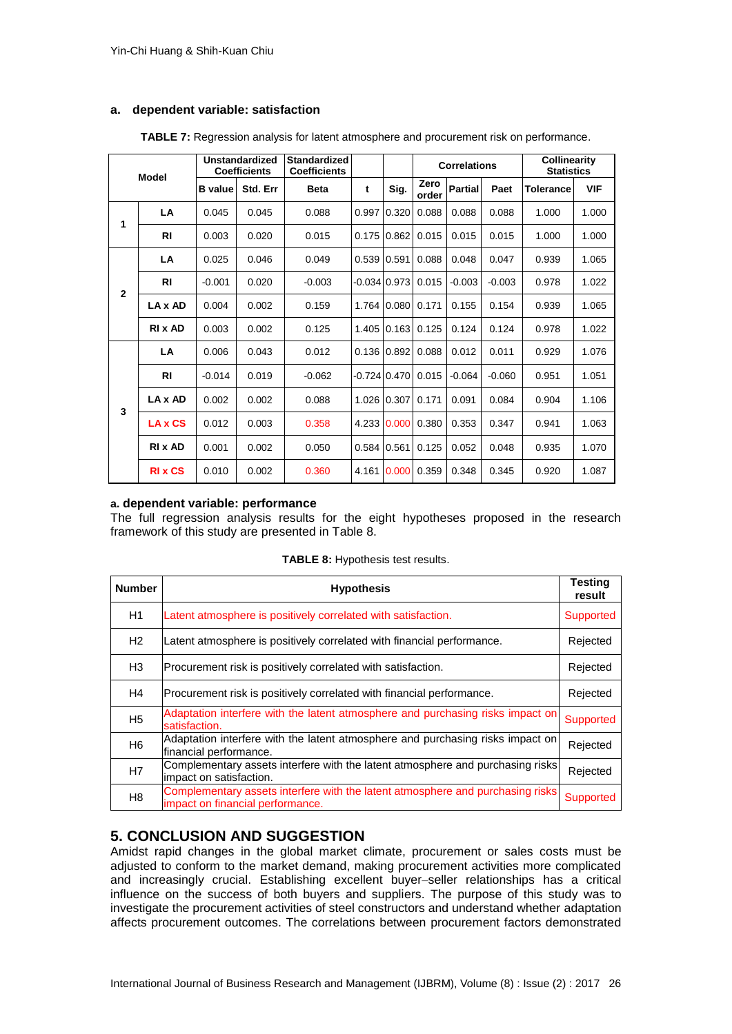#### **a. dependent variable: satisfaction**

|                   | <b>Model</b>  |                | Unstandardized<br><b>Coefficients</b> | <b>Standardized</b><br><b>Coefficients</b> |                |       |               | <b>Correlations</b> |          | <b>Collinearity</b><br><b>Statistics</b> |            |
|-------------------|---------------|----------------|---------------------------------------|--------------------------------------------|----------------|-------|---------------|---------------------|----------|------------------------------------------|------------|
|                   |               | <b>B</b> value | Std. Err                              | <b>Beta</b>                                | t              | Sig.  | Zero<br>order | <b>Partial</b>      | Paet     | <b>Tolerance</b>                         | <b>VIF</b> |
| 1                 | LA            | 0.045          | 0.045                                 | 0.088                                      | 0.997          | 0.320 | 0.088         | 0.088               | 0.088    | 1.000                                    | 1.000      |
|                   | <b>RI</b>     | 0.003          | 0.020                                 | 0.015                                      | 0.175          | 0.862 | 0.015         | 0.015               | 0.015    | 1.000                                    | 1.000      |
|                   | LA            | 0.025          | 0.046                                 | 0.049                                      | 0.539          | 0.591 | 0.088         | 0.048               | 0.047    | 0.939                                    | 1.065      |
| $\mathbf{2}$<br>3 | <b>RI</b>     | $-0.001$       | 0.020                                 | $-0.003$                                   | $-0.034$ 0.973 |       | 0.015         | $-0.003$            | $-0.003$ | 0.978                                    | 1.022      |
|                   | LA x AD       | 0.004          | 0.002                                 | 0.159                                      | 1.764          | 0.080 | 0.171         | 0.155               | 0.154    | 0.939                                    | 1.065      |
|                   | <b>RIX AD</b> | 0.003          | 0.002                                 | 0.125                                      | 1.405          | 0.163 | 0.125         | 0.124               | 0.124    | 0.978                                    | 1.022      |
|                   | LA            | 0.006          | 0.043                                 | 0.012                                      | 0.136          | 0.892 | 0.088         | 0.012               | 0.011    | 0.929                                    | 1.076      |
|                   | <b>RI</b>     | $-0.014$       | 0.019                                 | $-0.062$                                   | $-0.724$ 0.470 |       | 0.015         | $-0.064$            | $-0.060$ | 0.951                                    | 1.051      |
|                   | LA x AD       | 0.002          | 0.002                                 | 0.088                                      | 1.026          | 0.307 | 0.171         | 0.091               | 0.084    | 0.904                                    | 1.106      |
|                   | LA x CS       | 0.012          | 0.003                                 | 0.358                                      | 4.233          | 0.000 | 0.380         | 0.353               | 0.347    | 0.941                                    | 1.063      |
|                   | RI x AD       | 0.001          | 0.002                                 | 0.050                                      | 0.584          | 0.561 | 0.125         | 0.052               | 0.048    | 0.935                                    | 1.070      |
|                   | <b>RIX CS</b> | 0.010          | 0.002                                 | 0.360                                      | 4.161          | 0.000 | 0.359         | 0.348               | 0.345    | 0.920                                    | 1.087      |

**TABLE 7:** Regression analysis for latent atmosphere and procurement risk on performance.

## **a. dependent variable: performance**

The full regression analysis results for the eight hypotheses proposed in the research framework of this study are presented in Table 8.

| <b>Number</b>  | <b>Hypothesis</b>                                                                                                  | <b>Testing</b><br>result |
|----------------|--------------------------------------------------------------------------------------------------------------------|--------------------------|
| H1             | Latent atmosphere is positively correlated with satisfaction.                                                      | Supported                |
| H2             | Latent atmosphere is positively correlated with financial performance.                                             | Rejected                 |
| H <sub>3</sub> | Procurement risk is positively correlated with satisfaction.                                                       | Rejected                 |
| H4             | Procurement risk is positively correlated with financial performance.                                              | Rejected                 |
| H <sub>5</sub> | Adaptation interfere with the latent atmosphere and purchasing risks impact on<br>satisfaction.                    | Supported                |
| H <sub>6</sub> | Adaptation interfere with the latent atmosphere and purchasing risks impact on<br>financial performance.           | Rejected                 |
| H7             | Complementary assets interfere with the latent atmosphere and purchasing risks<br>impact on satisfaction.          | Rejected                 |
| H <sub>8</sub> | Complementary assets interfere with the latent atmosphere and purchasing risks<br>impact on financial performance. | Supported                |

|  |  |  | TABLE 8: Hypothesis test results. |  |  |
|--|--|--|-----------------------------------|--|--|
|--|--|--|-----------------------------------|--|--|

## **5. CONCLUSION AND SUGGESTION**

Amidst rapid changes in the global market climate, procurement or sales costs must be adjusted to conform to the market demand, making procurement activities more complicated and increasingly crucial. Establishing excellent buyer–seller relationships has a critical influence on the success of both buyers and suppliers. The purpose of this study was to investigate the procurement activities of steel constructors and understand whether adaptation affects procurement outcomes. The correlations between procurement factors demonstrated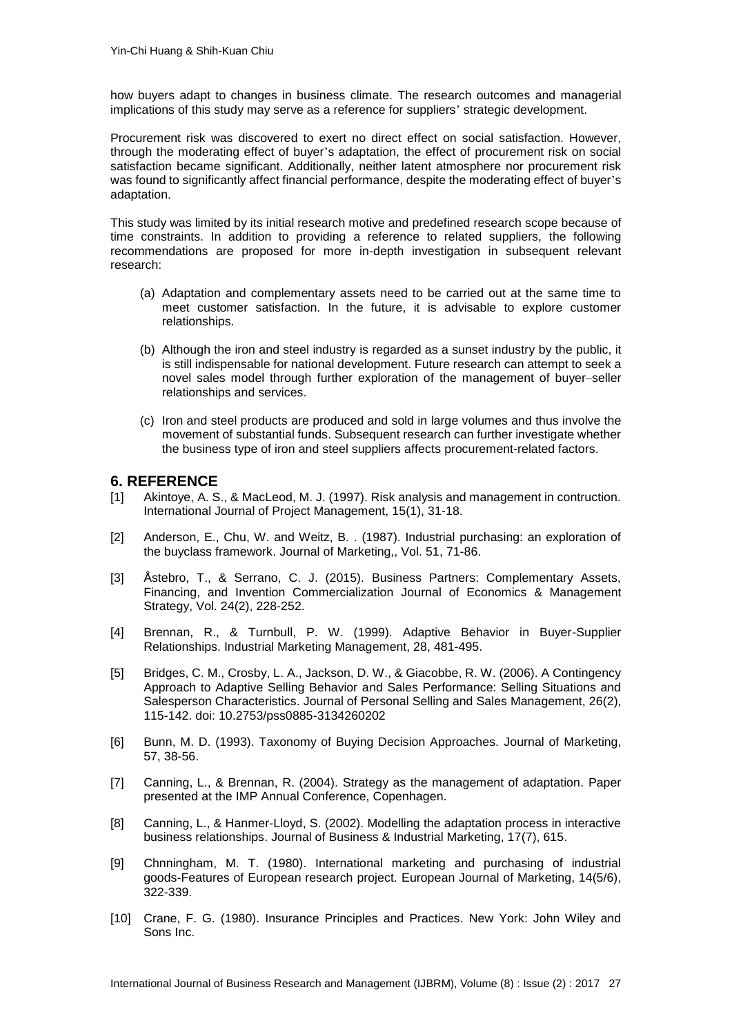how buyers adapt to changes in business climate. The research outcomes and managerial implications of this study may serve as a reference for suppliers' strategic development.

Procurement risk was discovered to exert no direct effect on social satisfaction. However, through the moderating effect of buyer's adaptation, the effect of procurement risk on social satisfaction became significant. Additionally, neither latent atmosphere nor procurement risk was found to significantly affect financial performance, despite the moderating effect of buyer's adaptation.

This study was limited by its initial research motive and predefined research scope because of time constraints. In addition to providing a reference to related suppliers, the following recommendations are proposed for more in-depth investigation in subsequent relevant research:

- (a) Adaptation and complementary assets need to be carried out at the same time to meet customer satisfaction. In the future, it is advisable to explore customer relationships.
- (b) Although the iron and steel industry is regarded as a sunset industry by the public, it is still indispensable for national development. Future research can attempt to seek a novel sales model through further exploration of the management of buyer–seller relationships and services.
- (c) Iron and steel products are produced and sold in large volumes and thus involve the movement of substantial funds. Subsequent research can further investigate whether the business type of iron and steel suppliers affects procurement-related factors.

### **6. REFERENCE**

- <span id="page-14-4"></span>[1] Akintoye, A. S., & MacLeod, M. J. (1997). Risk analysis and management in contruction. International Journal of Project Management, 15(1), 31-18.
- <span id="page-14-2"></span>[2] Anderson, E., Chu, W. and Weitz, B. . (1987). Industrial purchasing: an exploration of the buyclass framework. Journal of Marketing,, Vol. 51, 71-86.
- <span id="page-14-9"></span>[3] Åstebro, T., & Serrano, C. J. (2015). Business Partners: Complementary Assets, Financing, and Invention Commercialization Journal of Economics & Management Strategy, Vol. 24(2), 228-252.
- <span id="page-14-6"></span>[4] Brennan, R., & Turnbull, P. W. (1999). Adaptive Behavior in Buyer-Supplier Relationships. Industrial Marketing Management, 28, 481-495.
- <span id="page-14-8"></span>[5] Bridges, C. M., Crosby, L. A., Jackson, D. W., & Giacobbe, R. W. (2006). A Contingency Approach to Adaptive Selling Behavior and Sales Performance: Selling Situations and Salesperson Characteristics. Journal of Personal Selling and Sales Management, 26(2), 115-142. doi: 10.2753/pss0885-3134260202
- <span id="page-14-0"></span>[6] Bunn, M. D. (1993). Taxonomy of Buying Decision Approaches. Journal of Marketing, 57, 38-56.
- <span id="page-14-7"></span>[7] Canning, L., & Brennan, R. (2004). Strategy as the management of adaptation. Paper presented at the IMP Annual Conference, Copenhagen.
- <span id="page-14-5"></span>[8] Canning, L., & Hanmer-Lloyd, S. (2002). Modelling the adaptation process in interactive business relationships. Journal of Business & Industrial Marketing, 17(7), 615.
- <span id="page-14-1"></span>[9] Chnningham, M. T. (1980). International marketing and purchasing of industrial goods-Features of European research project. European Journal of Marketing, 14(5/6), 322-339.
- <span id="page-14-3"></span>[10] Crane, F. G. (1980). Insurance Principles and Practices. New York: John Wiley and Sons Inc.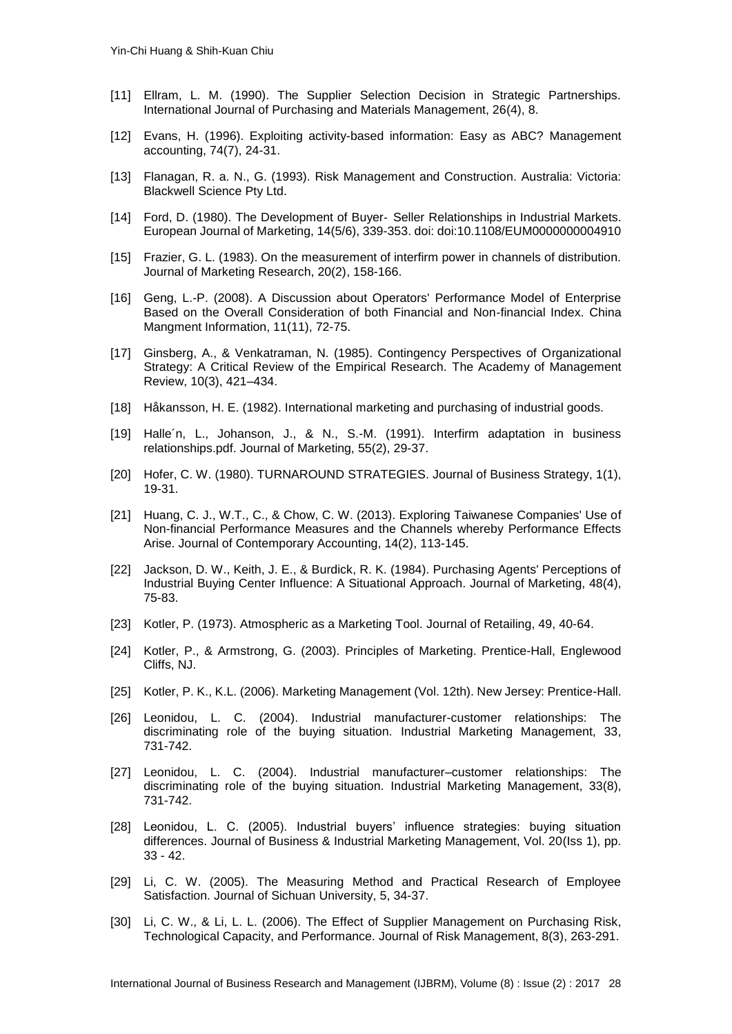- <span id="page-15-10"></span>[11] Ellram, L. M. (1990). The Supplier Selection Decision in Strategic Partnerships. International Journal of Purchasing and Materials Management, 26(4), 8.
- <span id="page-15-11"></span>[12] Evans, H. (1996). Exploiting activity-based information: Easy as ABC? Management accounting, 74(7), 24-31.
- <span id="page-15-9"></span>[13] Flanagan, R. a. N., G. (1993). Risk Management and Construction. Australia: Victoria: Blackwell Science Pty Ltd.
- <span id="page-15-18"></span>[14] Ford, D. (1980). The Development of Buyer-Seller Relationships in Industrial Markets. European Journal of Marketing, 14(5/6), 339-353. doi: doi:10.1108/EUM0000000004910
- <span id="page-15-19"></span>[15] Frazier, G. L. (1983). On the measurement of interfirm power in channels of distribution. Journal of Marketing Research, 20(2), 158-166.
- <span id="page-15-16"></span>[16] Geng, L.-P. (2008). A Discussion about Operators' Performance Model of Enterprise Based on the Overall Consideration of both Financial and Non-financial Index. China Mangment Information, 11(11), 72-75.
- <span id="page-15-12"></span>[17] Ginsberg, A., & Venkatraman, N. (1985). Contingency Perspectives of Organizational Strategy: A Critical Review of the Empirical Research. The Academy of Management Review, 10(3), 421–434.
- <span id="page-15-5"></span>[18] Håkansson, H. E. (1982). International marketing and purchasing of industrial goods.
- <span id="page-15-17"></span>[19] Halle´n, L., Johanson, J., & N., S.-M. (1991). Interfirm adaptation in business relationships.pdf. Journal of Marketing, 55(2), 29-37.
- <span id="page-15-13"></span>[20] Hofer, C. W. (1980). TURNAROUND STRATEGIES. Journal of Business Strategy, 1(1), 19-31.
- <span id="page-15-14"></span>[21] Huang, C. J., W.T., C., & Chow, C. W. (2013). Exploring Taiwanese Companies' Use of Non-financial Performance Measures and the Channels whereby Performance Effects Arise. Journal of Contemporary Accounting, 14(2), 113-145.
- <span id="page-15-7"></span>[22] Jackson, D. W., Keith, J. E., & Burdick, R. K. (1984). Purchasing Agents' Perceptions of Industrial Buying Center Influence: A Situational Approach. Journal of Marketing, 48(4), 75-83.
- <span id="page-15-2"></span>[23] Kotler, P. (1973). Atmospheric as a Marketing Tool. Journal of Retailing, 49, 40-64.
- <span id="page-15-3"></span>[24] Kotler, P., & Armstrong, G. (2003). Principles of Marketing. Prentice-Hall, Englewood Cliffs, NJ.
- <span id="page-15-0"></span>[25] Kotler, P. K., K.L. (2006). Marketing Management (Vol. 12th). New Jersey: Prentice-Hall.
- <span id="page-15-6"></span>[26] Leonidou, L. C. (2004). Industrial manufacturer-customer relationships: The discriminating role of the buying situation. Industrial Marketing Management, 33, 731-742.
- <span id="page-15-1"></span>[27] Leonidou, L. C. (2004). Industrial manufacturer–customer relationships: The discriminating role of the buying situation. Industrial Marketing Management, 33(8), 731-742.
- <span id="page-15-4"></span>[28] Leonidou, L. C. (2005). Industrial buyers' influence strategies: buying situation differences. Journal of Business & Industrial Marketing Management, Vol. 20(Iss 1), pp. 33 - 42.
- <span id="page-15-15"></span>[29] Li, C. W. (2005). The Measuring Method and Practical Research of Employee Satisfaction. Journal of Sichuan University, 5, 34-37.
- <span id="page-15-8"></span>[30] Li, C. W., & Li, L. L. (2006). The Effect of Supplier Management on Purchasing Risk, Technological Capacity, and Performance. Journal of Risk Management, 8(3), 263-291.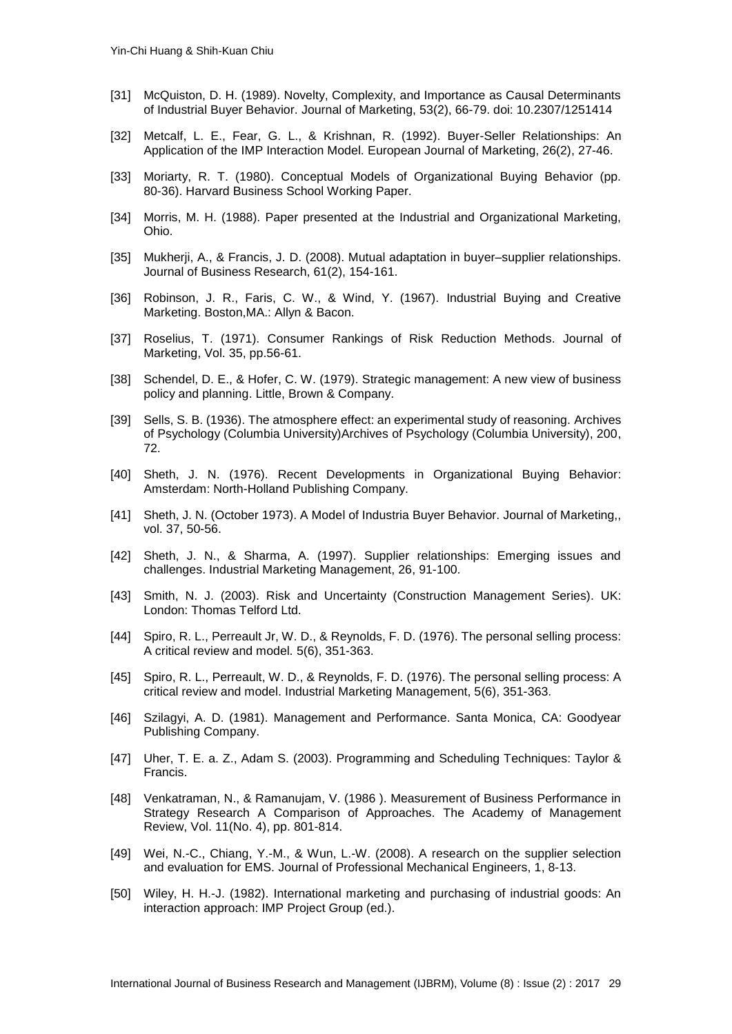- <span id="page-16-8"></span>[31] McQuiston, D. H. (1989). Novelty, Complexity, and Importance as Causal Determinants of Industrial Buyer Behavior. Journal of Marketing, 53(2), 66-79. doi: 10.2307/1251414
- <span id="page-16-4"></span>[32] Metcalf, L. E., Fear, G. L., & Krishnan, R. (1992). Buyer-Seller Relationships: An Application of the IMP Interaction Model. European Journal of Marketing, 26(2), 27-46.
- <span id="page-16-3"></span>[33] Moriarty, R. T. (1980). Conceptual Models of Organizational Buying Behavior (pp. 80-36). Harvard Business School Working Paper.
- <span id="page-16-0"></span>[34] Morris, M. H. (1988). Paper presented at the Industrial and Organizational Marketing, Ohio.
- <span id="page-16-17"></span>[35] Mukherji, A., & Francis, J. D. (2008). Mutual adaptation in buyer–supplier relationships. Journal of Business Research, 61(2), 154-161.
- <span id="page-16-7"></span>[36] Robinson, J. R., Faris, C. W., & Wind, Y. (1967). Industrial Buying and Creative Marketing. Boston,MA.: Allyn & Bacon.
- <span id="page-16-9"></span>[37] Roselius, T. (1971). Consumer Rankings of Risk Reduction Methods. Journal of Marketing, Vol. 35, pp.56-61.
- <span id="page-16-15"></span>[38] Schendel, D. E., & Hofer, C. W. (1979). Strategic management: A new view of business policy and planning. Little, Brown & Company.
- <span id="page-16-5"></span>[39] Sells, S. B. (1936). The atmosphere effect: an experimental study of reasoning. Archives of Psychology (Columbia University)Archives of Psychology (Columbia University), 200, 72.
- <span id="page-16-2"></span>[40] Sheth, J. N. (1976). Recent Developments in Organizational Buying Behavior: Amsterdam: North-Holland Publishing Company.
- <span id="page-16-1"></span>[41] Sheth, J. N. (October 1973). A Model of Industria Buyer Behavior. Journal of Marketing,, vol. 37, 50-56.
- <span id="page-16-6"></span>[42] Sheth, J. N., & Sharma, A. (1997). Supplier relationships: Emerging issues and challenges. Industrial Marketing Management, 26, 91-100.
- <span id="page-16-11"></span>[43] Smith, N. J. (2003). Risk and Uncertainty (Construction Management Series). UK: London: Thomas Telford Ltd.
- <span id="page-16-16"></span>[44] Spiro, R. L., Perreault Jr, W. D., & Reynolds, F. D. (1976). The personal selling process: A critical review and model. 5(6), 351-363.
- <span id="page-16-18"></span>[45] Spiro, R. L., Perreault, W. D., & Reynolds, F. D. (1976). The personal selling process: A critical review and model. Industrial Marketing Management, 5(6), 351-363.
- <span id="page-16-13"></span>[46] Szilagyi, A. D. (1981). Management and Performance. Santa Monica, CA: Goodyear Publishing Company.
- <span id="page-16-10"></span>[47] Uher, T. E. a. Z., Adam S. (2003). Programming and Scheduling Techniques: Taylor & Francis.
- <span id="page-16-14"></span>[48] Venkatraman, N., & Ramanujam, V. (1986 ). Measurement of Business Performance in Strategy Research A Comparison of Approaches. The Academy of Management Review, Vol. 11(No. 4), pp. 801-814.
- <span id="page-16-12"></span>[49] Wei, N.-C., Chiang, Y.-M., & Wun, L.-W. (2008). A research on the supplier selection and evaluation for EMS. Journal of Professional Mechanical Engineers, 1, 8-13.
- <span id="page-16-19"></span>[50] Wiley, H. H.-J. (1982). International marketing and purchasing of industrial goods: An interaction approach: IMP Project Group (ed.).